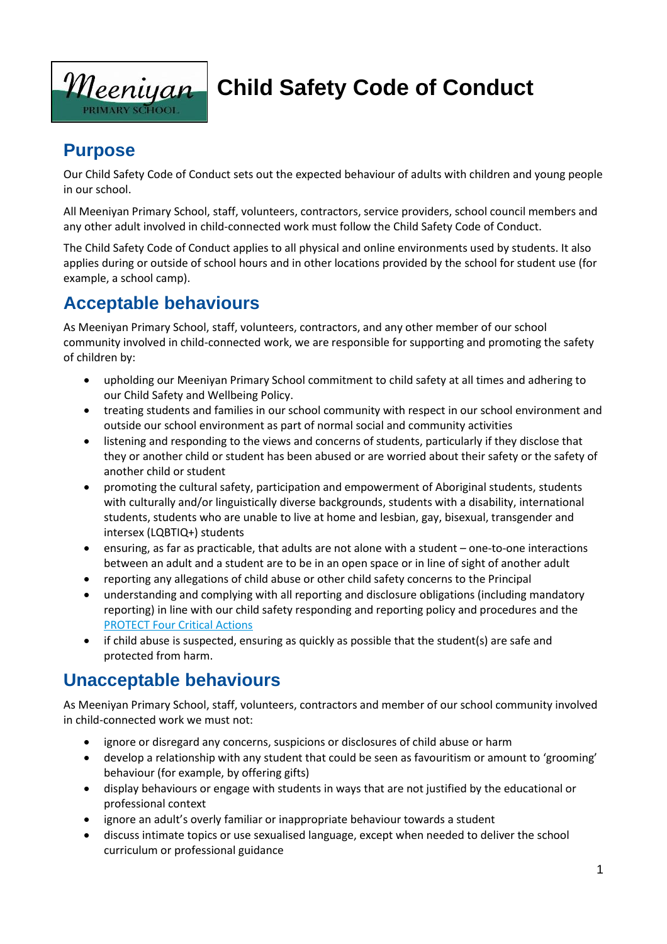

# **Child Safety Code of Conduct**

### **Purpose**

Our Child Safety Code of Conduct sets out the expected behaviour of adults with children and young people in our school.

All Meeniyan Primary School, staff, volunteers, contractors, service providers, school council members and any other adult involved in child-connected work must follow the Child Safety Code of Conduct.

The Child Safety Code of Conduct applies to all physical and online environments used by students. It also applies during or outside of school hours and in other locations provided by the school for student use (for example, a school camp).

### **Acceptable behaviours**

As Meeniyan Primary School, staff, volunteers, contractors, and any other member of our school community involved in child-connected work, we are responsible for supporting and promoting the safety of children by:

- upholding our Meeniyan Primary School commitment to child safety at all times and adhering to our Child Safety and Wellbeing Policy.
- treating students and families in our school community with respect in our school environment and outside our school environment as part of normal social and community activities
- listening and responding to the views and concerns of students, particularly if they disclose that they or another child or student has been abused or are worried about their safety or the safety of another child or student
- promoting the cultural safety, participation and empowerment of Aboriginal students, students with culturally and/or linguistically diverse backgrounds, students with a disability, international students, students who are unable to live at home and lesbian, gay, bisexual, transgender and intersex (LQBTIQ+) students
- ensuring, as far as practicable, that adults are not alone with a student one-to-one interactions between an adult and a student are to be in an open space or in line of sight of another adult
- reporting any allegations of child abuse or other child safety concerns to the Principal
- understanding and complying with all reporting and disclosure obligations (including mandatory reporting) in line with our child safety responding and reporting policy and procedures and the [PROTECT Four Critical Actions](https://www.education.vic.gov.au/Documents/about/programs/health/protect/FourCriticalActions_ChildAbuse.pdf)
- if child abuse is suspected, ensuring as quickly as possible that the student(s) are safe and protected from harm.

### **Unacceptable behaviours**

As Meeniyan Primary School, staff, volunteers, contractors and member of our school community involved in child-connected work we must not:

- ignore or disregard any concerns, suspicions or disclosures of child abuse or harm
- develop a relationship with any student that could be seen as favouritism or amount to 'grooming' behaviour (for example, by offering gifts)
- display behaviours or engage with students in ways that are not justified by the educational or professional context
- ignore an adult's overly familiar or inappropriate behaviour towards a student
- discuss intimate topics or use sexualised language, except when needed to deliver the school curriculum or professional guidance